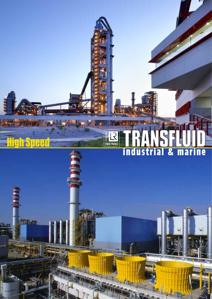## ISO 9001 industrial & marine

**High Speed** 

副集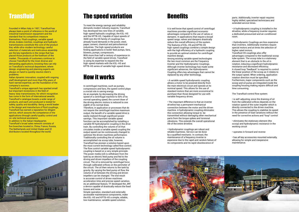Founded in Milan Italy in 1957, Transfluid has always been a point of reference in the world of industrial transmission equipment and the standard that its competitors measure themselves. Fluid couplings, variable speed drives, brakes clutches, couplings and hydraulic transmissions constitute the core of the product line, while ultra-modern technology, careful selection of materials and meticulous assembly are the key ingredients in the recipe that has placed those products at the forefront of the market. Thousands of customers continue to choose Transfluid for the most diverse and demanding applications, knowing they can rely on Transfluid's technical department, where design, engineering and planning experts are always on hand to quickly resolve client's problems.

Italian dynamic innovation, coupled with ongoing staff development and more than fifty years of hard-earned expertise, are the foundation of the company's success.

Transfluid's unique approach has sparked small but important revolutions in the field of heavy-duty transmissions, for which recognition has come in the form of international awards. Transfluid's catalogue boasts a wide range of products, and each unit produced is tested for safety, quality and durability. Being a world leader in the design and manufacture of fluid couplings, Transfluid has earned a reputation for diligent service, which assures the competence of the applications through careful quality control and on-site technical assistance.

In addition to the Italian Headquarter, Transfluid's broad sales network consists of five branches located in, China, France, Russia, The Netherlands and United States and 32 distributors located throughout the world.



## **Transfluid The speed variation**

To meet the energy savings and reliability demands modern industry expects, Transfluid has developed two new lines of variable, high-speed hydraulic couplings, the KSL-HS and the KPTB-HS. Capable of input speeds of 3600 rpm the HS family of couplings has already found demands in the power, steel, paper, cement, chemical and petrochemical industries. The high-speed products are finding applications in boiler feed pumps, fans, blowers, pumps, compressors. With more than half a century of experience in the field of variable speed drives, Transfluid is using its expertise to expand into the high-speed markets with the KSL-HS and KPTB-HS series of variable high-speed drives.

In centrifugal machines, such as pumps, compressors and fans, the speed control plays a crucial role in saving energy. As an example, by decreasing the driving speed of a centrifugal machine to 50% of its normal operating speed, the current draw of the driving electric motors is reduced to one eighth of its normal draw.

• Hydrodynamic Couplings are less expensive than inverters. Additionally inverters require special motors and at times the selection of higher rated motors.

Therefore, in application or processes that do not require the centrifugal machine maximum output, the benefit of a variable speed drive is easily realized through significant power savings. This important variable speed function can be accomplished by installing a variable fill hydrodynamic coupling in the drive train. By controlling the volume of oil that circulates inside a variable speed coupling the output speed can be continuously changed to optimize the driven machines performance. Traditionally controlling the oil volume is accomplished via scoop tube, however, Transfluid has pioneer a solution based upon the most current technology called flow control. The flow control variable speed hydrodynamic coupling is based on a very simple principle. The power media (oil) is withdrawn from the tank by an electric feed pump and fed to the driving and driven impellers of the coupling circuit. The oil is removed by centrifugal force through calibrated orifices on the perimeter of the circuit. The oil then returns to the tank by gravity. By varying the feed pump oil flow, the volume of oil between the driving and driven impellers can be changed. The end result is accurate control of driven machines acceleration time and precise speed variation. As an additional feature, TF developed the JRP, a device capable of drastically reduce the fixed losses and noise.

Simple operation, standard and externally accessible maintenance components, make the KSL-HS and KPTB-HS a simple, reliable, low maintenance, variable speed solution.

## **Benefits**

It is well know that speed control of centrifugal machines provides significant economic advantages compared to the use of valves or dampers. In applications that require a broad speed range, valves and dampers drastically reduce the overall efficiency of the system. The features of KSL-HS and KPTB-HS high-speed couplings combine a simple design with the high efficiency of a hydraulic coupling to provide an optimal solution for centrifugal machine design.

Among existing variable speed technologies the two most common are the Frequency Inverter and the Hydrodynamic Couplings. Although inverter technology has made some significant advances, the Hydrodynamic Coupling offers key advantages that cannot be replaced by any other technology.

• A variable speed hydrodynamic coupling allows a motor to be powered directly from the main electrical circuit and operate at its nominal speed. This allows for the use of standard motors that are more economical to purchase than those designed for use with variable frequency drives.

• The important difference is that an inverter driveline has a permanent mechanical connection between the motor and the driven machine. A hydrodynamic coupling eliminates this connection allowing torque to be transmitted without damaging other mechanical parts from the torque spikes and torsional vibrations. This extends the overall operational life of the entire driveline.

• Hydrodynamic couplings are robust and reliable machines. Service can be done by a qualified mechanic. In contrast, the maintenance of a frequency inverter is expensive due to the rapid and random failure of its components and its rapid obsolescence of



parts. Additionally, inverter repair requires highly skilled, specialized technicians and extended service times.

• A hydrodynamic coupling is installed in the driveline, while a frequency inverter requires a dedicated pressurized and air conditioned room.

Transfluid HS couplings also offer advantages compared to the traditional scoop tube system. The scoop tube is a stationary element that is an obstacle to the oil in rotation, inducing a significant hydrodynamic resistance and decreased efficiency. A closed loop "feedback" is required to control the linear position of the scoop as it relates to the output speed. When ordering, application rotation direction must be specified. Furthermore, major components such as the scoop and oil pump are integrated inside the coupling housing making repairs difficult and time consuming.

The Transfluid control flow system:

• is self-adjusting, since the draining of oil from the calibrated orifices depends on the rotation speed of the outer impeller which is directly connected to the driven machine. This allows the coupling to stabilize its speed in the presence of load variations without the need for corrective actions and "loop" control

• eliminates the stationary element (the scoop) and hydrodynamic resistance in the working circuit

• operates in forward and reverse

• has all key accessories mounted externally, allowing for simple and inexpensive maintenance.

### How it works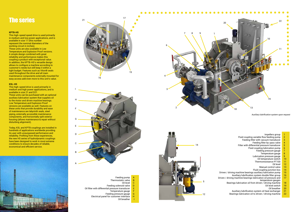*Auxiliary lubrification system upon request*

## The series

#### **KPTB-HS**

This high-speed speed drive is used primarily in medium and low power applications, and is available in size 17 (this number represent the nominal diameters of the working circuit in inches). These units are also available in Low Temperature and Explosion Proof versions. A simple design combined with great reliability and performance makes this coupling a product with exceptional value. In addition, the KPTB-HS's versatile design allows to configure a machine according to customer's needs but still keep it within a tight budget. Features such as Viton® seals used throughout the drive and all main maintenance components externally mounted for easy access add even more to this unit's value.

#### **KSL-HS**

This high-speed drive is used primarily in medium and high power applications, and is available in size 21 and D21. These units can be purchased with an optional auxiliary lubrication system that supplies oil to the motor and driven machine bearings. Low Temperature and Explosion Proof versions are available as well. Features on these units that provide durability and ease of maintenance are labyrinth seals, steel piping, externally accessible maintenance components, and horizontally split exterior housing (allows maintenance & repair without disturbing alignment).

| Impellers group                                        | 1                                                        |
|--------------------------------------------------------|----------------------------------------------------------|
| Fluid coupling variable flow feeding pump              |                                                          |
| Feeding filter with vacuum transducer                  |                                                          |
| Feeding filter by-pass valve                           |                                                          |
| Filter with differential pressure transducer           | $\begin{array}{c}\n 2 \\ 3 \\ 4 \\ 5 \\ 6\n \end{array}$ |
| Fluid coupling lubrication pump                        |                                                          |
| Feeding pressure gauge                                 | $\overline{7}$                                           |
| Temperature gauge                                      | 8                                                        |
| Lubrication pressure gauge                             | 9                                                        |
| Oil temperature switch                                 | 10                                                       |
| Thermoresistance PT100                                 | 11                                                       |
| Oil level                                              | 12                                                       |
| Manual control valve                                   | 13                                                       |
| Fluid coupling junction box                            | 14                                                       |
| / driving machine bearings auxiliary lubrication pump  | 15                                                       |
| Auxiliary lubrification system double filter group     | 16                                                       |
| driving machine bearings lubrication oil pressure and  | 17                                                       |
| temperature gauges                                     |                                                          |
| Bearings lubrication oil from driven / driving machine | 18                                                       |
| Oil level switch                                       | 19                                                       |
| Oil breather                                           | 20                                                       |
| Auxiliary lubrification system oil heat exchanger      | 21                                                       |
| Bearings lubrication oil to driven / driving machine   | 22                                                       |
|                                                        |                                                          |

Today, KSL and KPTB couplings are installed in hundreds of applications worldwide providing its user with unsurpassed performance and reliability. Profiting from these experiences, the new HS series of hydrodynamic couplings have been designed to work in most extreme conditions to ensure decades of reliable, economical and efficient service.









A<br>B CDEFGH<sub>I</sub> Feeding pump Thermostatic valve Oil level Feeding solenoid valve **D** Oil filter with differential pressure transducer Temperature gauge Feeding pressure gauge **G** 



Driven / drivi Driven / drivin

Electrical panel for customer interface

Oil breather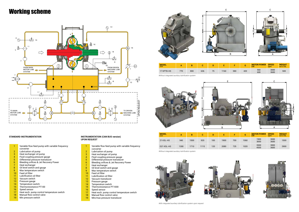## Working scheme

- 1 Variable flow feed pump with variable frequency converter
- 2 Lubrication oil pump
- 3 Heat exchanger oil pump
- 4 Fluid coupling pressure gauge
- 5 Differential pressure transducer
- 6 Bleeding orifices & Jet Recovery Power
- 7 Heat exchanger
- 8 Oil level switch and gauge
- 9 Max temperature switch
- 10 Feed oil filter
- 11 Lubrification oil filter
- 12 Vacuum transducer
- 13 Pressure gauge
- 14 Temperature switch
- 15 Thermoresistance PT1000
- 16 Speed sensor
- 17 Heat exch. pump control temperature switch
- 18 Manual flow control valve
- 19 Min/max pressure transducer
- 1 Variable flow feed pump with variable frequency converter
- 2 Lubrication oil pump
- 3 Heat exchanger oil pump
- 4 Fluid coupling pressure gauge
- 5 Differential pressure transducer
- 6 Bleeding orifices & Jet Recovery Power
- 7 Heat exchanger
- 8 Oil level switch and gauge
- 9 Max temperature switch
- 10 Feed oil filter
- 11 Lubrification oil filter
- 12 Vacuum switch
- 13 Pressure gauge
- 14 Temperature switch
- 15 Thermoresistance PT100
- 16 Speed sensor
- 17 Heat exch. pump control temperature switch
- 18 Manual flow control valve
- 19 Min pressure switch

Without integrated auxiliary lubrification system





#### **STANDARD INSTRUMENTATION INSTRUMENTATION (CAN BUS version) UPON REQUEST**

| <b>MODEL</b><br>size                              | А   | в   | u   |    |      | -   | ◠<br>u | <b>MOTOR POWER</b><br>kW | <b>SPEED</b><br>rpm | <b>WEIGHT</b><br>w/o OIL |
|---------------------------------------------------|-----|-----|-----|----|------|-----|--------|--------------------------|---------------------|--------------------------|
| 17 KPTB-HS                                        | 770 | 800 | 636 | 75 | 1160 | 580 | 420    | 560<br>600               | 3000<br>3600        | 500                      |
| Without integrated auviliary lubrification system |     |     |     |    |      |     |        |                          |                     |                          |

Without integrated auxiliary lubrification system



With integrated auxiliary lubrification system upon request







| <b>MODEL</b><br>size   | А    | B    | u    | D   |      |     | G    | <b>MOTOR POWER</b><br>kW | <b>SPEED</b><br>rpm | <b>WEIGHT</b><br>w/o OIL |
|------------------------|------|------|------|-----|------|-----|------|--------------------------|---------------------|--------------------------|
| 21 KSL-HS              | 940  | 1500 | 920  | 100 | 1900 | 700 | 1060 | 1900<br>3000             | 3000<br>3600        | 1500                     |
| D <sub>21</sub> KSL-HS | 1300 | 1710 | 1115 | 120 | 2080 | 725 | 1020 | 3500<br>4500             | 3000<br>3600        | 2900                     |